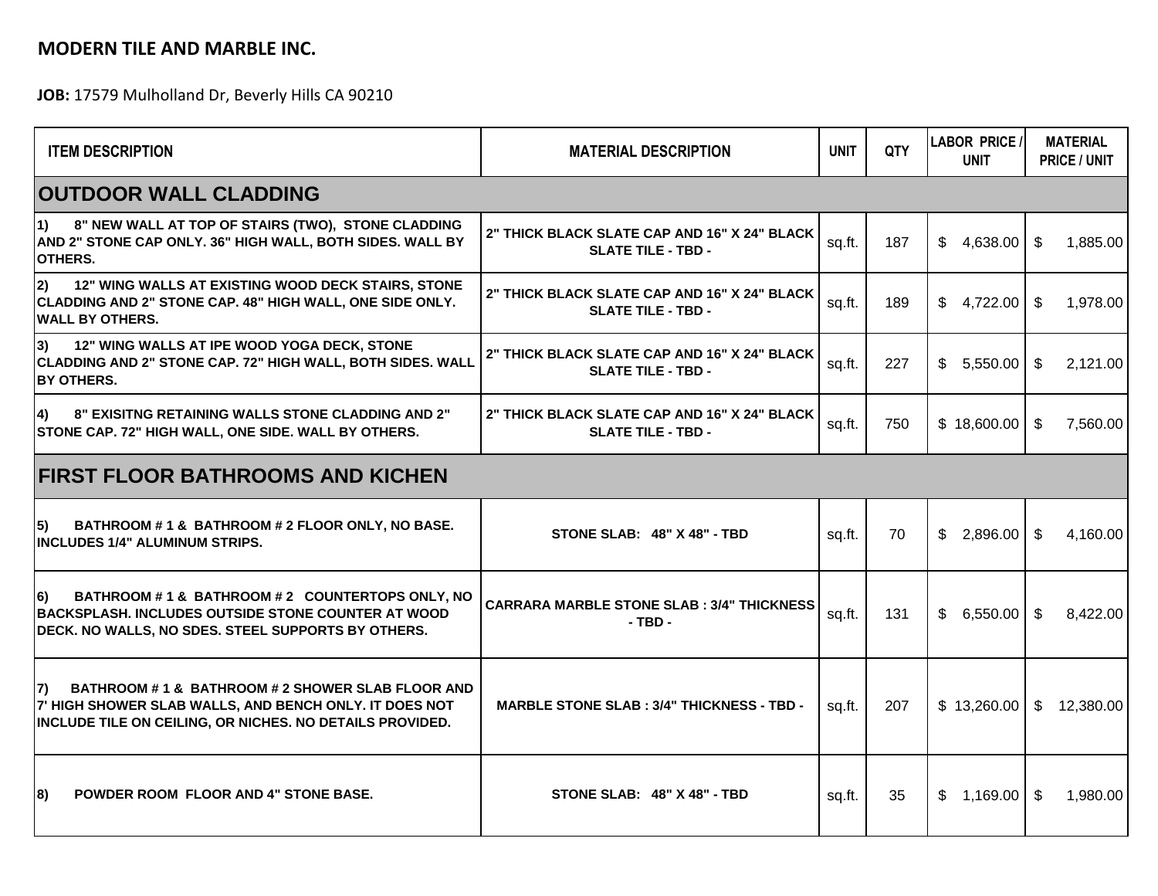## **MODERN TILE AND MARBLE INC.**

**JOB:** 17579 Mulholland Dr, Beverly Hills CA 90210

| <b>ITEM DESCRIPTION</b>                                                                                                                                                        | <b>MATERIAL DESCRIPTION</b>                                               | <b>UNIT</b> | <b>OTY</b> | <b>LABOR PRICE /</b><br><b>UNIT</b> | <b>MATERIAL</b><br><b>PRICE / UNIT</b> |  |  |  |  |  |
|--------------------------------------------------------------------------------------------------------------------------------------------------------------------------------|---------------------------------------------------------------------------|-------------|------------|-------------------------------------|----------------------------------------|--|--|--|--|--|
| <b>OUTDOOR WALL CLADDING</b>                                                                                                                                                   |                                                                           |             |            |                                     |                                        |  |  |  |  |  |
| 8" NEW WALL AT TOP OF STAIRS (TWO), STONE CLADDING<br>l1)<br>AND 2" STONE CAP ONLY. 36" HIGH WALL, BOTH SIDES. WALL BY<br>OTHERS.                                              | 2" THICK BLACK SLATE CAP AND 16" X 24" BLACK<br><b>SLATE TILE - TBD -</b> | sq.ft.      | 187        | \$4,638.00                          | \$<br>1,885.00                         |  |  |  |  |  |
| 2)<br>12" WING WALLS AT EXISTING WOOD DECK STAIRS, STONE<br>CLADDING AND 2" STONE CAP. 48" HIGH WALL, ONE SIDE ONLY.<br><b>WALL BY OTHERS.</b>                                 | 2" THICK BLACK SLATE CAP AND 16" X 24" BLACK<br><b>SLATE TILE - TBD -</b> | sq.ft.      | 189        | \$<br>4,722.00                      | \$<br>1,978.00                         |  |  |  |  |  |
| 3)<br>12" WING WALLS AT IPE WOOD YOGA DECK, STONE<br>CLADDING AND 2" STONE CAP. 72" HIGH WALL, BOTH SIDES. WALL<br><b>BY OTHERS.</b>                                           | 2" THICK BLACK SLATE CAP AND 16" X 24" BLACK<br><b>SLATE TILE - TBD -</b> | sq.ft.      | 227        | \$5,550.00                          | 2,121.00<br>- \$                       |  |  |  |  |  |
| 8" EXISITNG RETAINING WALLS STONE CLADDING AND 2"<br>4)<br>STONE CAP. 72" HIGH WALL, ONE SIDE. WALL BY OTHERS.                                                                 | 2" THICK BLACK SLATE CAP AND 16" X 24" BLACK<br><b>SLATE TILE - TBD -</b> | sq.ft.      | 750        | \$18,600.00                         | 7,560.00<br>-SS                        |  |  |  |  |  |
| <b>FIRST FLOOR BATHROOMS AND KICHEN</b>                                                                                                                                        |                                                                           |             |            |                                     |                                        |  |  |  |  |  |
| BATHROOM #1& BATHROOM #2 FLOOR ONLY, NO BASE.<br>15)<br><b>INCLUDES 1/4" ALUMINUM STRIPS.</b>                                                                                  | STONE SLAB: 48" X 48" - TBD                                               | sq.ft.      | 70         | $$2,896.00$ \ \ \$                  | 4,160.00                               |  |  |  |  |  |
| 6)<br>BATHROOM #1& BATHROOM #2 COUNTERTOPS ONLY, NO<br>BACKSPLASH. INCLUDES OUTSIDE STONE COUNTER AT WOOD<br>DECK. NO WALLS, NO SDES. STEEL SUPPORTS BY OTHERS.                | <b>CARRARA MARBLE STONE SLAB : 3/4" THICKNESS</b><br>$-$ TBD $-$          | sq.ft.      | 131        | \$6,550.00                          | 8.422.00<br>-\$                        |  |  |  |  |  |
| BATHROOM # 1 & BATHROOM # 2 SHOWER SLAB FLOOR AND<br>I7)<br>7' HIGH SHOWER SLAB WALLS, AND BENCH ONLY. IT DOES NOT<br>INCLUDE TILE ON CEILING, OR NICHES. NO DETAILS PROVIDED. | <b>MARBLE STONE SLAB : 3/4" THICKNESS - TBD -</b>                         | sq.ft.      | 207        | \$13,260.00                         | \$12,380.00                            |  |  |  |  |  |
| <b>POWDER ROOM FLOOR AND 4" STONE BASE.</b><br>8)                                                                                                                              | STONE SLAB: 48" X 48" - TBD                                               | sq.ft.      | 35         | 1,169.00<br>\$.                     | \$<br>1,980.00                         |  |  |  |  |  |